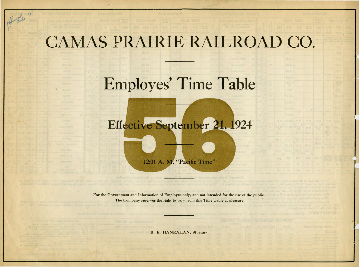## CAMAS PRAIRIE RAILROAD CO.

## **Employes' Time Table**

Effective September 21, 1924

12:01 A. M. "Pacific Time"

For the Government and Information of Employes only, and not intended for the use of the public. The Company reserves the right to vary from this Time Table at pleasure

*I* 

R. E. **HANRAHAN,** *Manager* 



I